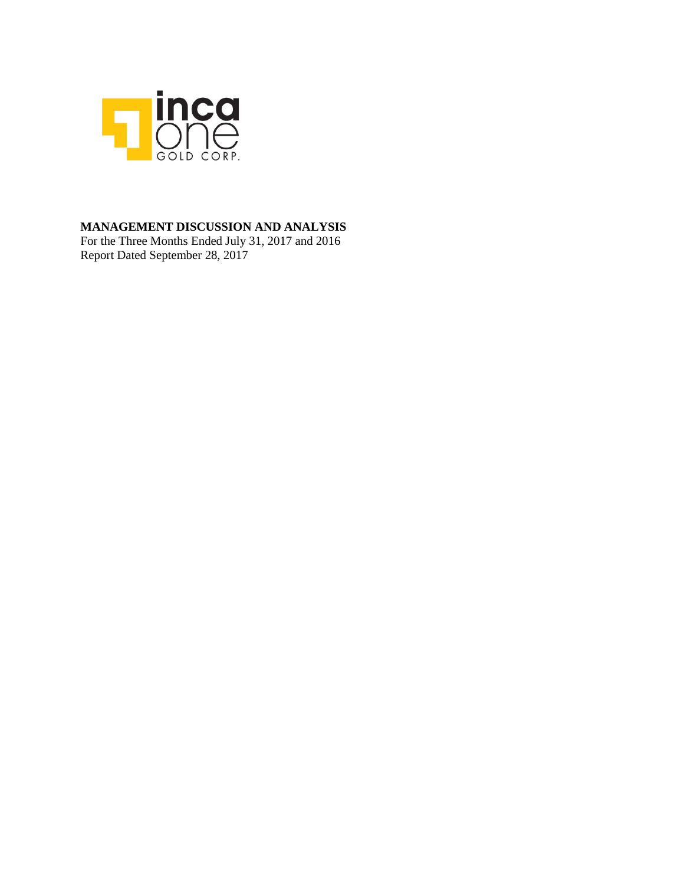

### **MANAGEMENT DISCUSSION AND ANALYSIS**

For the Three Months Ended July 31, 2017 and 2016 Report Dated September 28, 2017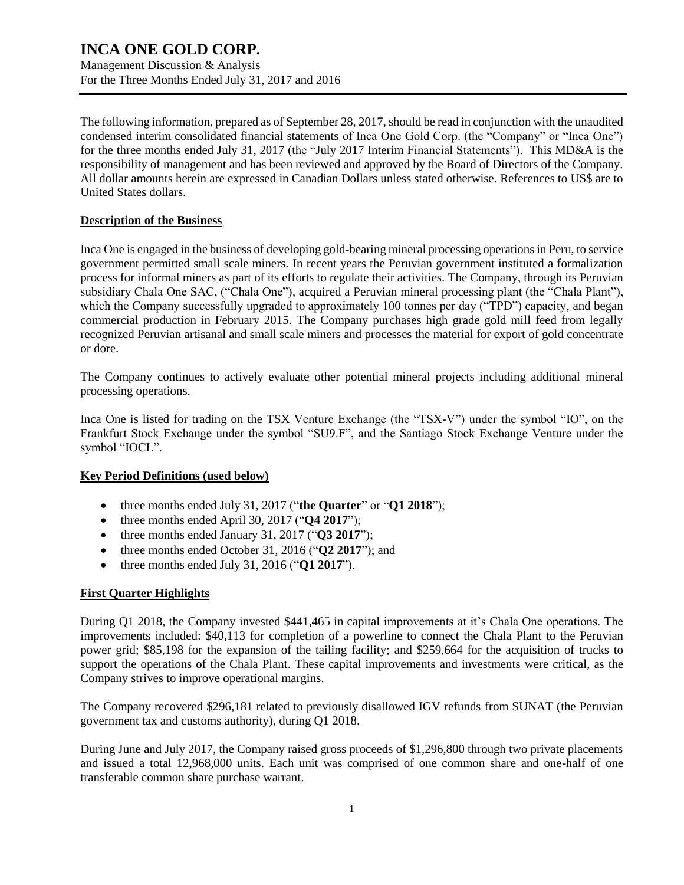Management Discussion & Analysis For the Three Months Ended July 31, 2017 and 2016

The following information, prepared as of September 28, 2017, should be read in conjunction with the unaudited condensed interim consolidated financial statements of Inca One Gold Corp. (the "Company" or "Inca One") for the three months ended July 31, 2017 (the "July 2017 Interim Financial Statements"). This MD&A is the responsibility of management and has been reviewed and approved by the Board of Directors of the Company. All dollar amounts herein are expressed in Canadian Dollars unless stated otherwise. References to US\$ are to United States dollars.

### **Description of the Business**

Inca One is engaged in the business of developing gold-bearing mineral processing operations in Peru, to service government permitted small scale miners. In recent years the Peruvian government instituted a formalization process for informal miners as part of its efforts to regulate their activities. The Company, through its Peruvian subsidiary Chala One SAC, ("Chala One"), acquired a Peruvian mineral processing plant (the "Chala Plant"), which the Company successfully upgraded to approximately 100 tonnes per day ("TPD") capacity, and began commercial production in February 2015. The Company purchases high grade gold mill feed from legally recognized Peruvian artisanal and small scale miners and processes the material for export of gold concentrate or dore.

The Company continues to actively evaluate other potential mineral projects including additional mineral processing operations.

Inca One is listed for trading on the TSX Venture Exchange (the "TSX-V") under the symbol "IO", on the Frankfurt Stock Exchange under the symbol "SU9.F", and the Santiago Stock Exchange Venture under the symbol "IOCL".

### **Key Period Definitions (used below)**

- three months ended July 31, 2017 ("**the Quarter**" or "**Q1 2018**");
- three months ended April 30, 2017 ("**Q4 2017**");
- three months ended January 31, 2017 ("**Q3 2017**");
- three months ended October 31, 2016 ("**Q2 2017**"); and
- three months ended July 31, 2016 ("**Q1 2017**").

### **First Quarter Highlights**

During Q1 2018, the Company invested \$441,465 in capital improvements at it's Chala One operations. The improvements included: \$40,113 for completion of a powerline to connect the Chala Plant to the Peruvian power grid; \$85,198 for the expansion of the tailing facility; and \$259,664 for the acquisition of trucks to support the operations of the Chala Plant. These capital improvements and investments were critical, as the Company strives to improve operational margins.

The Company recovered \$296,181 related to previously disallowed IGV refunds from SUNAT (the Peruvian government tax and customs authority), during Q1 2018.

During June and July 2017, the Company raised gross proceeds of \$1,296,800 through two private placements and issued a total 12,968,000 units. Each unit was comprised of one common share and one-half of one transferable common share purchase warrant.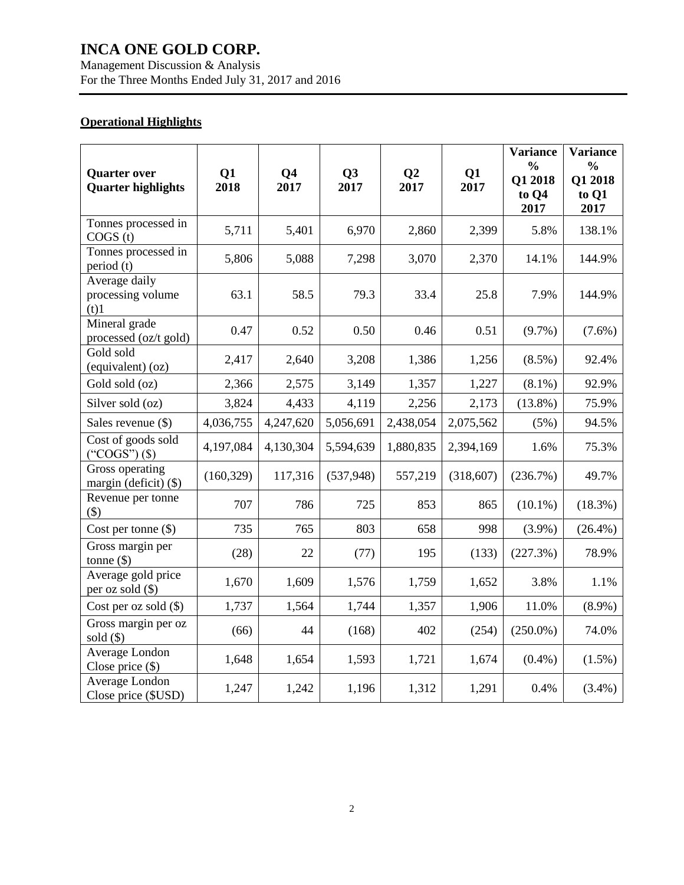Management Discussion & Analysis For the Three Months Ended July 31, 2017 and 2016

### **Operational Highlights**

| <b>Quarter over</b><br><b>Quarter highlights</b> | Q1<br>2018 | Q <sub>4</sub><br>2017 | Q3<br>2017 | Q <sub>2</sub><br>2017 | Q1<br>2017 | <b>Variance</b><br>$\frac{0}{0}$<br>Q1 2018<br>to Q4<br>2017 | <b>Variance</b><br>$\frac{0}{0}$<br>Q1 2018<br>to Q1<br>2017 |
|--------------------------------------------------|------------|------------------------|------------|------------------------|------------|--------------------------------------------------------------|--------------------------------------------------------------|
| Tonnes processed in<br>COGS(t)                   | 5,711      | 5,401                  | 6,970      | 2,860                  | 2,399      | 5.8%                                                         | 138.1%                                                       |
| Tonnes processed in<br>period (t)                | 5,806      | 5,088                  | 7,298      | 3,070                  | 2,370      | 14.1%                                                        | 144.9%                                                       |
| Average daily<br>processing volume<br>(t)1       | 63.1       | 58.5                   | 79.3       | 33.4                   | 25.8       | 7.9%                                                         | 144.9%                                                       |
| Mineral grade<br>processed (oz/t gold)           | 0.47       | 0.52                   | 0.50       | 0.46                   | 0.51       | $(9.7\%)$                                                    | $(7.6\%)$                                                    |
| Gold sold<br>(equivalent) (oz)                   | 2,417      | 2,640                  | 3,208      | 1,386                  | 1,256      | $(8.5\%)$                                                    | 92.4%                                                        |
| Gold sold (oz)                                   | 2,366      | 2,575                  | 3,149      | 1,357                  | 1,227      | $(8.1\%)$                                                    | 92.9%                                                        |
| Silver sold (oz)                                 | 3,824      | 4,433                  | 4,119      | 2,256                  | 2,173      | $(13.8\%)$                                                   | 75.9%                                                        |
| Sales revenue (\$)                               | 4,036,755  | 4,247,620              | 5,056,691  | 2,438,054              | 2,075,562  | (5%)                                                         | 94.5%                                                        |
| Cost of goods sold<br>$("COGS")$ $(\$)$          | 4,197,084  | 4,130,304              | 5,594,639  | 1,880,835              | 2,394,169  | 1.6%                                                         | 75.3%                                                        |
| Gross operating<br>margin (deficit) (\$)         | (160, 329) | 117,316                | (537, 948) | 557,219                | (318, 607) | (236.7%)                                                     | 49.7%                                                        |
| Revenue per tonne<br>(3)                         | 707        | 786                    | 725        | 853                    | 865        | $(10.1\%)$                                                   | $(18.3\%)$                                                   |
| Cost per tonne $(\$)$                            | 735        | 765                    | 803        | 658                    | 998        | $(3.9\%)$                                                    | $(26.4\%)$                                                   |
| Gross margin per<br>tonne $(\$)$                 | (28)       | 22                     | (77)       | 195                    | (133)      | (227.3%)                                                     | 78.9%                                                        |
| Average gold price<br>per oz sold (\$)           | 1,670      | 1,609                  | 1,576      | 1,759                  | 1,652      | 3.8%                                                         | 1.1%                                                         |
| Cost per oz sold $(\$)$                          | 1,737      | 1,564                  | 1,744      | 1,357                  | 1,906      | 11.0%                                                        | $(8.9\%)$                                                    |
| Gross margin per oz<br>sold $(\$)$               | (66)       | 44                     | (168)      | 402                    | (254)      | $(250.0\%)$                                                  | 74.0%                                                        |
| Average London<br>Close price $(\$)$             | 1,648      | 1,654                  | 1,593      | 1,721                  | 1,674      | $(0.4\%)$                                                    | (1.5%)                                                       |
| Average London<br>Close price (\$USD)            | 1,247      | 1,242                  | 1,196      | 1,312                  | 1,291      | 0.4%                                                         | $(3.4\%)$                                                    |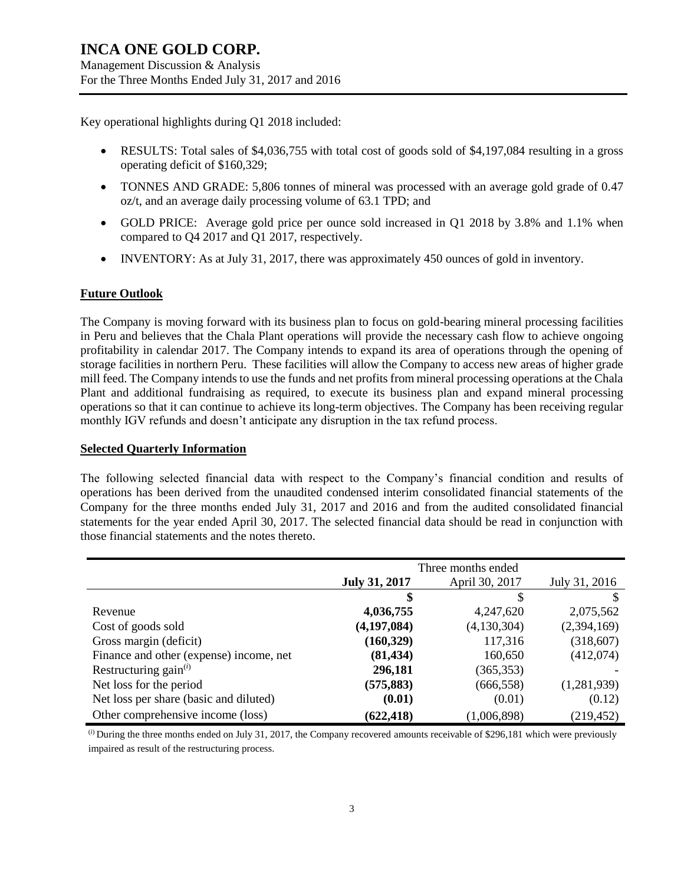Management Discussion & Analysis For the Three Months Ended July 31, 2017 and 2016

Key operational highlights during Q1 2018 included:

- RESULTS: Total sales of \$4,036,755 with total cost of goods sold of \$4,197,084 resulting in a gross operating deficit of \$160,329;
- TONNES AND GRADE: 5,806 tonnes of mineral was processed with an average gold grade of 0.47 oz/t, and an average daily processing volume of 63.1 TPD; and
- GOLD PRICE: Average gold price per ounce sold increased in Q1 2018 by 3.8% and 1.1% when compared to Q4 2017 and Q1 2017, respectively.
- INVENTORY: As at July 31, 2017, there was approximately 450 ounces of gold in inventory.

### **Future Outlook**

The Company is moving forward with its business plan to focus on gold-bearing mineral processing facilities in Peru and believes that the Chala Plant operations will provide the necessary cash flow to achieve ongoing profitability in calendar 2017. The Company intends to expand its area of operations through the opening of storage facilities in northern Peru. These facilities will allow the Company to access new areas of higher grade mill feed. The Company intends to use the funds and net profits from mineral processing operations at the Chala Plant and additional fundraising as required, to execute its business plan and expand mineral processing operations so that it can continue to achieve its long-term objectives. The Company has been receiving regular monthly IGV refunds and doesn't anticipate any disruption in the tax refund process.

### **Selected Quarterly Information**

The following selected financial data with respect to the Company's financial condition and results of operations has been derived from the unaudited condensed interim consolidated financial statements of the Company for the three months ended July 31, 2017 and 2016 and from the audited consolidated financial statements for the year ended April 30, 2017. The selected financial data should be read in conjunction with those financial statements and the notes thereto.

|                                         | Three months ended   |                |               |
|-----------------------------------------|----------------------|----------------|---------------|
|                                         | <b>July 31, 2017</b> | April 30, 2017 | July 31, 2016 |
|                                         |                      | \$             |               |
| Revenue                                 | 4,036,755            | 4,247,620      | 2,075,562     |
| Cost of goods sold                      | (4, 197, 084)        | (4,130,304)    | (2,394,169)   |
| Gross margin (deficit)                  | (160, 329)           | 117,316        | (318,607)     |
| Finance and other (expense) income, net | (81, 434)            | 160,650        | (412,074)     |
| Restructuring gain $^{(i)}$             | 296,181              | (365, 353)     |               |
| Net loss for the period                 | (575, 883)           | (666, 558)     | (1,281,939)   |
| Net loss per share (basic and diluted)  | (0.01)               | (0.01)         | (0.12)        |
| Other comprehensive income (loss)       | (622, 418)           | (1,006,898)    | (219, 452)    |

(*i*) During the three months ended on July 31, 2017, the Company recovered amounts receivable of \$296,181 which were previously impaired as result of the restructuring process.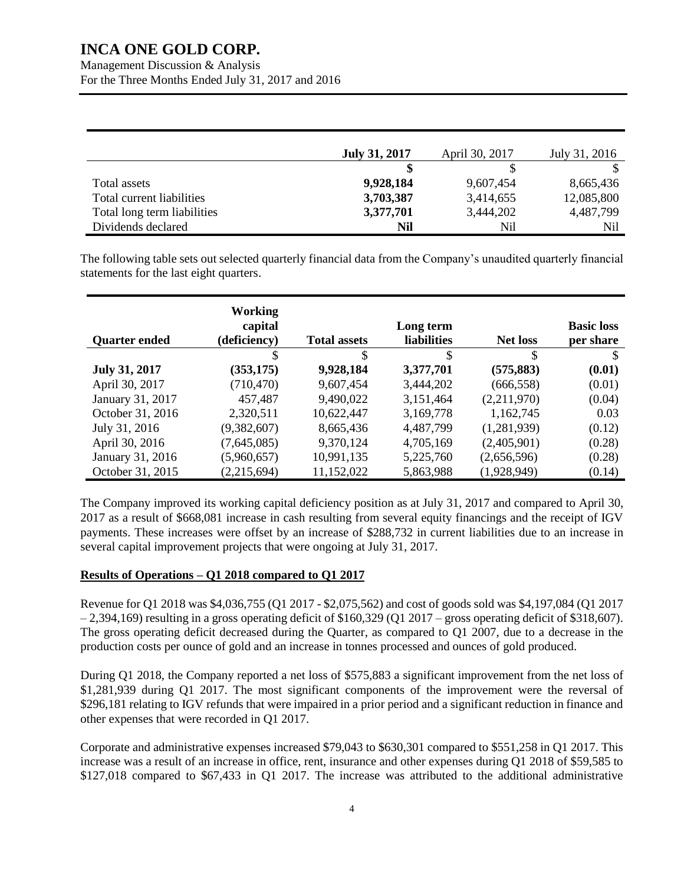Management Discussion & Analysis For the Three Months Ended July 31, 2017 and 2016

|                             | <b>July 31, 2017</b> | April 30, 2017 | July 31, 2016 |
|-----------------------------|----------------------|----------------|---------------|
|                             |                      |                |               |
| Total assets                | 9,928,184            | 9,607,454      | 8,665,436     |
| Total current liabilities   | 3,703,387            | 3,414,655      | 12,085,800    |
| Total long term liabilities | 3,377,701            | 3,444,202      | 4,487,799     |
| Dividends declared          | Nil                  | Nil            | Nil           |

The following table sets out selected quarterly financial data from the Company's unaudited quarterly financial statements for the last eight quarters.

| <b>Quarter ended</b> | Working<br>capital<br>(deficiency) | <b>Total assets</b> | Long term<br><b>liabilities</b> | <b>Net loss</b> | <b>Basic loss</b><br>per share |
|----------------------|------------------------------------|---------------------|---------------------------------|-----------------|--------------------------------|
|                      | S                                  | \$                  | \$                              | \$              | S                              |
| <b>July 31, 2017</b> | (353, 175)                         | 9,928,184           | 3,377,701                       | (575, 883)      | (0.01)                         |
| April 30, 2017       | (710, 470)                         | 9,607,454           | 3,444,202                       | (666, 558)      | (0.01)                         |
| January 31, 2017     | 457,487                            | 9,490,022           | 3,151,464                       | (2,211,970)     | (0.04)                         |
| October 31, 2016     | 2,320,511                          | 10,622,447          | 3,169,778                       | 1,162,745       | 0.03                           |
| July 31, 2016        | (9,382,607)                        | 8,665,436           | 4,487,799                       | (1,281,939)     | (0.12)                         |
| April 30, 2016       | (7,645,085)                        | 9,370,124           | 4,705,169                       | (2,405,901)     | (0.28)                         |
| January 31, 2016     | (5,960,657)                        | 10,991,135          | 5,225,760                       | (2,656,596)     | (0.28)                         |
| October 31, 2015     | (2,215,694)                        | 11,152,022          | 5,863,988                       | (1,928,949)     | (0.14)                         |

The Company improved its working capital deficiency position as at July 31, 2017 and compared to April 30, 2017 as a result of \$668,081 increase in cash resulting from several equity financings and the receipt of IGV payments. These increases were offset by an increase of \$288,732 in current liabilities due to an increase in several capital improvement projects that were ongoing at July 31, 2017.

### **Results of Operations – Q1 2018 compared to Q1 2017**

Revenue for Q1 2018 was \$4,036,755 (Q1 2017 - \$2,075,562) and cost of goods sold was \$4,197,084 (Q1 2017  $-2,394,169$ ) resulting in a gross operating deficit of \$160,329 (Q1 2017 – gross operating deficit of \$318,607). The gross operating deficit decreased during the Quarter, as compared to Q1 2007, due to a decrease in the production costs per ounce of gold and an increase in tonnes processed and ounces of gold produced.

During Q1 2018, the Company reported a net loss of \$575,883 a significant improvement from the net loss of \$1,281,939 during Q1 2017. The most significant components of the improvement were the reversal of \$296,181 relating to IGV refunds that were impaired in a prior period and a significant reduction in finance and other expenses that were recorded in Q1 2017.

Corporate and administrative expenses increased \$79,043 to \$630,301 compared to \$551,258 in Q1 2017. This increase was a result of an increase in office, rent, insurance and other expenses during Q1 2018 of \$59,585 to \$127,018 compared to \$67,433 in Q1 2017. The increase was attributed to the additional administrative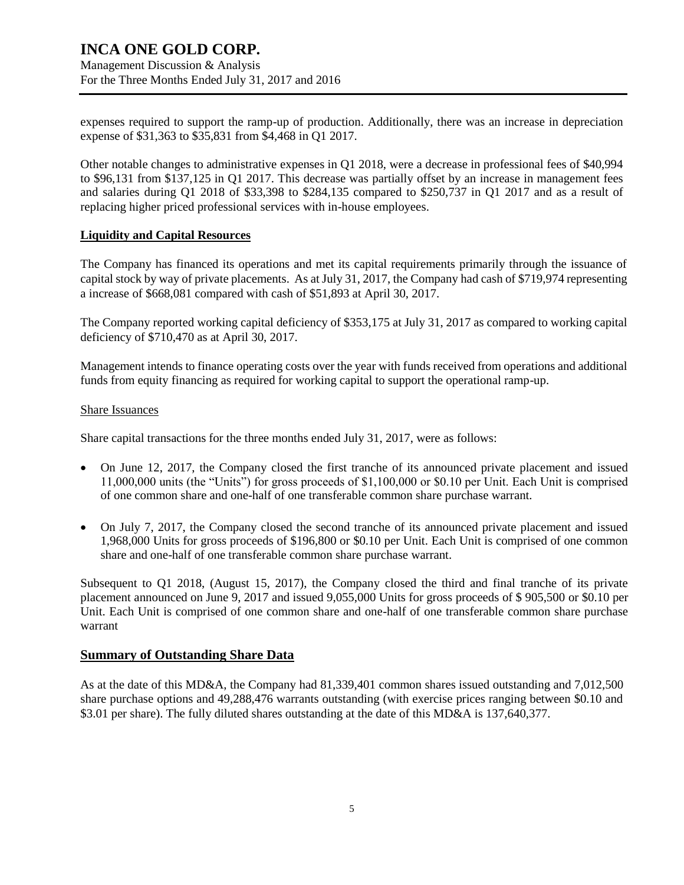Management Discussion & Analysis For the Three Months Ended July 31, 2017 and 2016

expenses required to support the ramp-up of production. Additionally, there was an increase in depreciation expense of \$31,363 to \$35,831 from \$4,468 in Q1 2017.

Other notable changes to administrative expenses in Q1 2018, were a decrease in professional fees of \$40,994 to \$96,131 from \$137,125 in Q1 2017. This decrease was partially offset by an increase in management fees and salaries during Q1 2018 of \$33,398 to \$284,135 compared to \$250,737 in Q1 2017 and as a result of replacing higher priced professional services with in-house employees.

### **Liquidity and Capital Resources**

The Company has financed its operations and met its capital requirements primarily through the issuance of capital stock by way of private placements. As at July 31, 2017, the Company had cash of \$719,974 representing a increase of \$668,081 compared with cash of \$51,893 at April 30, 2017.

The Company reported working capital deficiency of \$353,175 at July 31, 2017 as compared to working capital deficiency of \$710,470 as at April 30, 2017.

Management intends to finance operating costs over the year with funds received from operations and additional funds from equity financing as required for working capital to support the operational ramp-up.

#### Share Issuances

Share capital transactions for the three months ended July 31, 2017, were as follows:

- On June 12, 2017, the Company closed the first tranche of its announced private placement and issued 11,000,000 units (the "Units") for gross proceeds of \$1,100,000 or \$0.10 per Unit. Each Unit is comprised of one common share and one-half of one transferable common share purchase warrant.
- On July 7, 2017, the Company closed the second tranche of its announced private placement and issued 1,968,000 Units for gross proceeds of \$196,800 or \$0.10 per Unit. Each Unit is comprised of one common share and one-half of one transferable common share purchase warrant.

Subsequent to Q1 2018, (August 15, 2017), the Company closed the third and final tranche of its private placement announced on June 9, 2017 and issued 9,055,000 Units for gross proceeds of \$ 905,500 or \$0.10 per Unit. Each Unit is comprised of one common share and one-half of one transferable common share purchase warrant

### **Summary of Outstanding Share Data**

As at the date of this MD&A, the Company had 81,339,401 common shares issued outstanding and 7,012,500 share purchase options and 49,288,476 warrants outstanding (with exercise prices ranging between \$0.10 and \$3.01 per share). The fully diluted shares outstanding at the date of this MD&A is 137,640,377.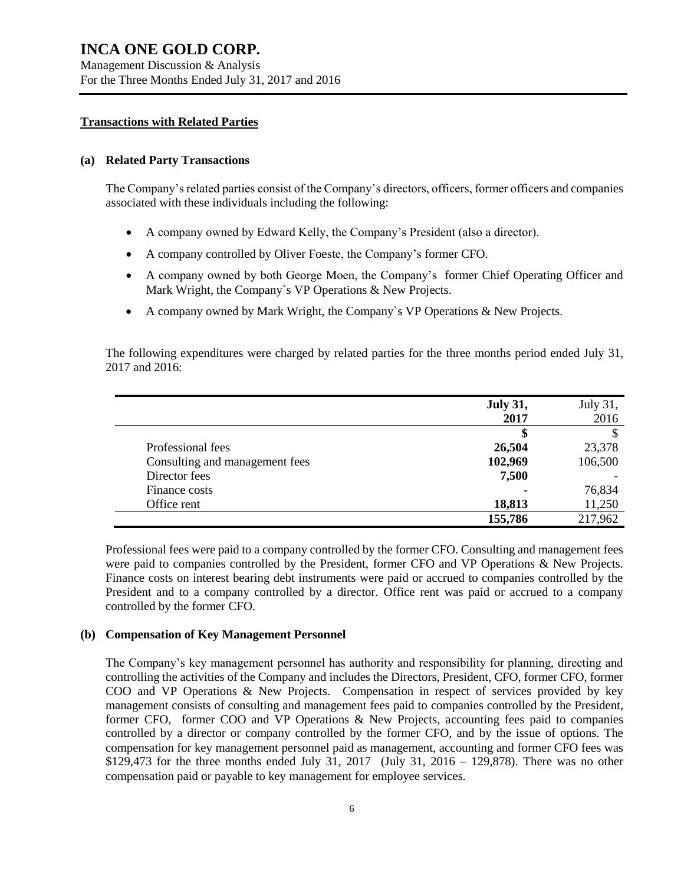Management Discussion & Analysis For the Three Months Ended July 31, 2017 and 2016

#### **Transactions with Related Parties**

#### **(a) Related Party Transactions**

The Company's related parties consist of the Company's directors, officers, former officers and companies associated with these individuals including the following:

- A company owned by Edward Kelly, the Company's President (also a director).
- A company controlled by Oliver Foeste, the Company's former CFO.
- A company owned by both George Moen, the Company's former Chief Operating Officer and Mark Wright, the Company`s VP Operations & New Projects.
- A company owned by Mark Wright, the Company`s VP Operations & New Projects.

The following expenditures were charged by related parties for the three months period ended July 31, 2017 and 2016:

|                                | <b>July 31,</b> | July 31, |
|--------------------------------|-----------------|----------|
|                                | 2017            | 2016     |
|                                | 5               |          |
| Professional fees              | 26,504          | 23,378   |
| Consulting and management fees | 102,969         | 106,500  |
| Director fees                  | 7,500           |          |
| Finance costs                  |                 | 76,834   |
| Office rent                    | 18,813          | 11,250   |
|                                | 155,786         | 217,962  |

Professional fees were paid to a company controlled by the former CFO. Consulting and management fees were paid to companies controlled by the President, former CFO and VP Operations & New Projects. Finance costs on interest bearing debt instruments were paid or accrued to companies controlled by the President and to a company controlled by a director. Office rent was paid or accrued to a company controlled by the former CFO.

### **(b) Compensation of Key Management Personnel**

The Company's key management personnel has authority and responsibility for planning, directing and controlling the activities of the Company and includes the Directors, President, CFO, former CFO, former COO and VP Operations & New Projects. Compensation in respect of services provided by key management consists of consulting and management fees paid to companies controlled by the President, former CFO, former COO and VP Operations & New Projects, accounting fees paid to companies controlled by a director or company controlled by the former CFO, and by the issue of options. The compensation for key management personnel paid as management, accounting and former CFO fees was \$129,473 for the three months ended July 31, 2017 (July 31, 2016 – 129,878). There was no other compensation paid or payable to key management for employee services.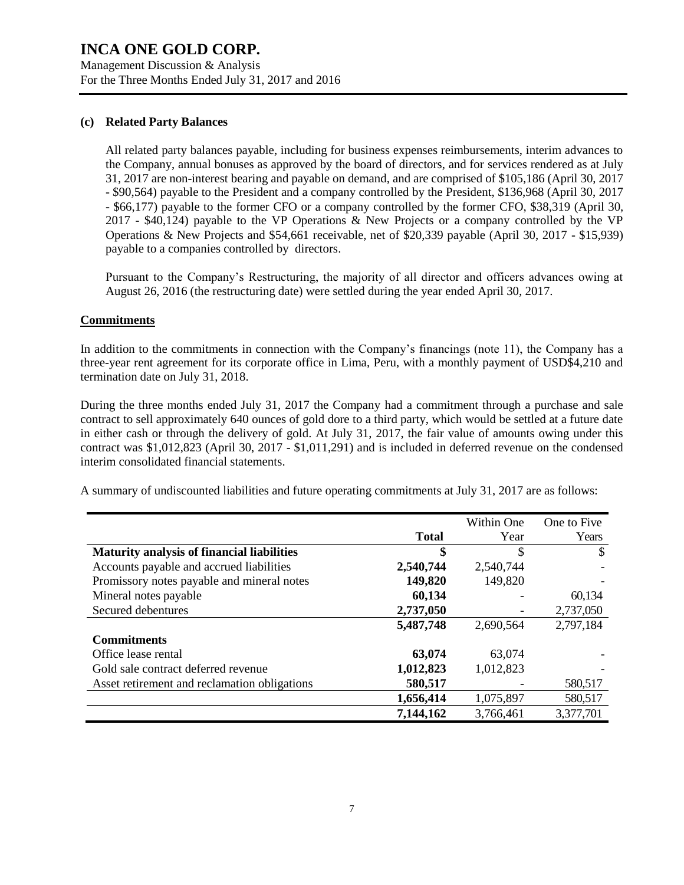Management Discussion & Analysis For the Three Months Ended July 31, 2017 and 2016

### **(c) Related Party Balances**

All related party balances payable, including for business expenses reimbursements, interim advances to the Company, annual bonuses as approved by the board of directors, and for services rendered as at July 31, 2017 are non-interest bearing and payable on demand, and are comprised of \$105,186 (April 30, 2017 - \$90,564) payable to the President and a company controlled by the President, \$136,968 (April 30, 2017 - \$66,177) payable to the former CFO or a company controlled by the former CFO, \$38,319 (April 30, 2017 - \$40,124) payable to the VP Operations & New Projects or a company controlled by the VP Operations & New Projects and \$54,661 receivable, net of \$20,339 payable (April 30, 2017 - \$15,939) payable to a companies controlled by directors.

Pursuant to the Company's Restructuring, the majority of all director and officers advances owing at August 26, 2016 (the restructuring date) were settled during the year ended April 30, 2017.

### **Commitments**

In addition to the commitments in connection with the Company's financings (note 11), the Company has a three-year rent agreement for its corporate office in Lima, Peru, with a monthly payment of USD\$4,210 and termination date on July 31, 2018.

During the three months ended July 31, 2017 the Company had a commitment through a purchase and sale contract to sell approximately 640 ounces of gold dore to a third party, which would be settled at a future date in either cash or through the delivery of gold. At July 31, 2017, the fair value of amounts owing under this contract was \$1,012,823 (April 30, 2017 - \$1,011,291) and is included in deferred revenue on the condensed interim consolidated financial statements.

A summary of undiscounted liabilities and future operating commitments at July 31, 2017 are as follows:

|                                                   |              | Within One | One to Five |
|---------------------------------------------------|--------------|------------|-------------|
|                                                   | <b>Total</b> | Year       | Years       |
| <b>Maturity analysis of financial liabilities</b> | \$           | \$         | S           |
| Accounts payable and accrued liabilities          | 2,540,744    | 2,540,744  |             |
| Promissory notes payable and mineral notes        | 149,820      | 149,820    |             |
| Mineral notes payable                             | 60,134       |            | 60,134      |
| Secured debentures                                | 2,737,050    |            | 2,737,050   |
|                                                   | 5,487,748    | 2,690,564  | 2,797,184   |
| <b>Commitments</b>                                |              |            |             |
| Office lease rental                               | 63,074       | 63,074     |             |
| Gold sale contract deferred revenue               | 1,012,823    | 1,012,823  |             |
| Asset retirement and reclamation obligations      | 580,517      |            | 580,517     |
|                                                   | 1,656,414    | 1,075,897  | 580,517     |
|                                                   | 7,144,162    | 3,766,461  | 3,377,701   |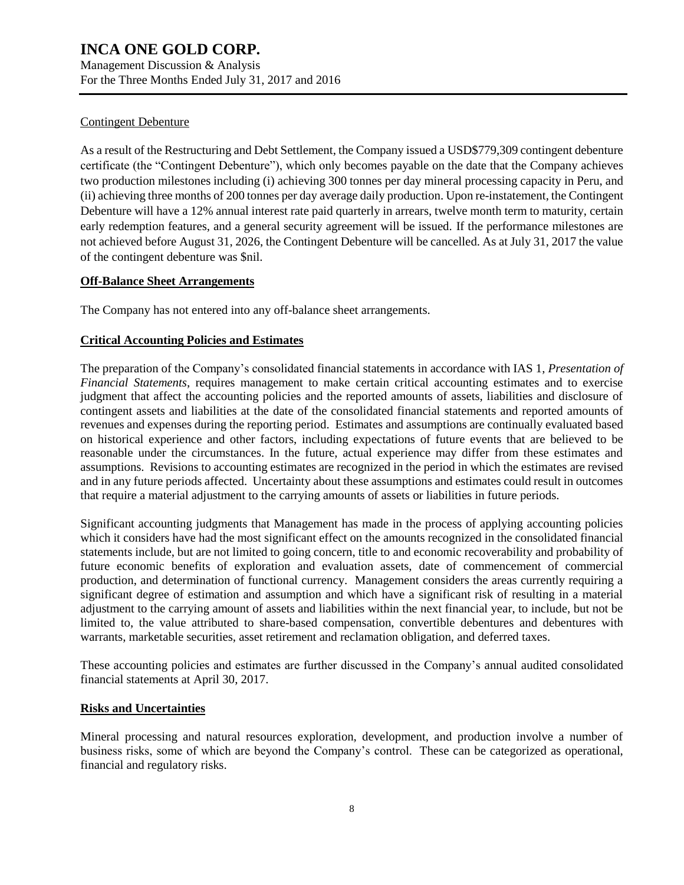Management Discussion & Analysis For the Three Months Ended July 31, 2017 and 2016

### Contingent Debenture

As a result of the Restructuring and Debt Settlement, the Company issued a USD\$779,309 contingent debenture certificate (the "Contingent Debenture"), which only becomes payable on the date that the Company achieves two production milestones including (i) achieving 300 tonnes per day mineral processing capacity in Peru, and (ii) achieving three months of 200 tonnes per day average daily production. Upon re-instatement, the Contingent Debenture will have a 12% annual interest rate paid quarterly in arrears, twelve month term to maturity, certain early redemption features, and a general security agreement will be issued. If the performance milestones are not achieved before August 31, 2026, the Contingent Debenture will be cancelled. As at July 31, 2017 the value of the contingent debenture was \$nil.

### **Off-Balance Sheet Arrangements**

The Company has not entered into any off-balance sheet arrangements.

### **Critical Accounting Policies and Estimates**

The preparation of the Company's consolidated financial statements in accordance with IAS 1, *Presentation of Financial Statements*, requires management to make certain critical accounting estimates and to exercise judgment that affect the accounting policies and the reported amounts of assets, liabilities and disclosure of contingent assets and liabilities at the date of the consolidated financial statements and reported amounts of revenues and expenses during the reporting period. Estimates and assumptions are continually evaluated based on historical experience and other factors, including expectations of future events that are believed to be reasonable under the circumstances. In the future, actual experience may differ from these estimates and assumptions. Revisions to accounting estimates are recognized in the period in which the estimates are revised and in any future periods affected. Uncertainty about these assumptions and estimates could result in outcomes that require a material adjustment to the carrying amounts of assets or liabilities in future periods.

Significant accounting judgments that Management has made in the process of applying accounting policies which it considers have had the most significant effect on the amounts recognized in the consolidated financial statements include, but are not limited to going concern, title to and economic recoverability and probability of future economic benefits of exploration and evaluation assets, date of commencement of commercial production, and determination of functional currency. Management considers the areas currently requiring a significant degree of estimation and assumption and which have a significant risk of resulting in a material adjustment to the carrying amount of assets and liabilities within the next financial year, to include, but not be limited to, the value attributed to share-based compensation, convertible debentures and debentures with warrants, marketable securities, asset retirement and reclamation obligation, and deferred taxes.

These accounting policies and estimates are further discussed in the Company's annual audited consolidated financial statements at April 30, 2017.

### **Risks and Uncertainties**

Mineral processing and natural resources exploration, development, and production involve a number of business risks, some of which are beyond the Company's control. These can be categorized as operational, financial and regulatory risks.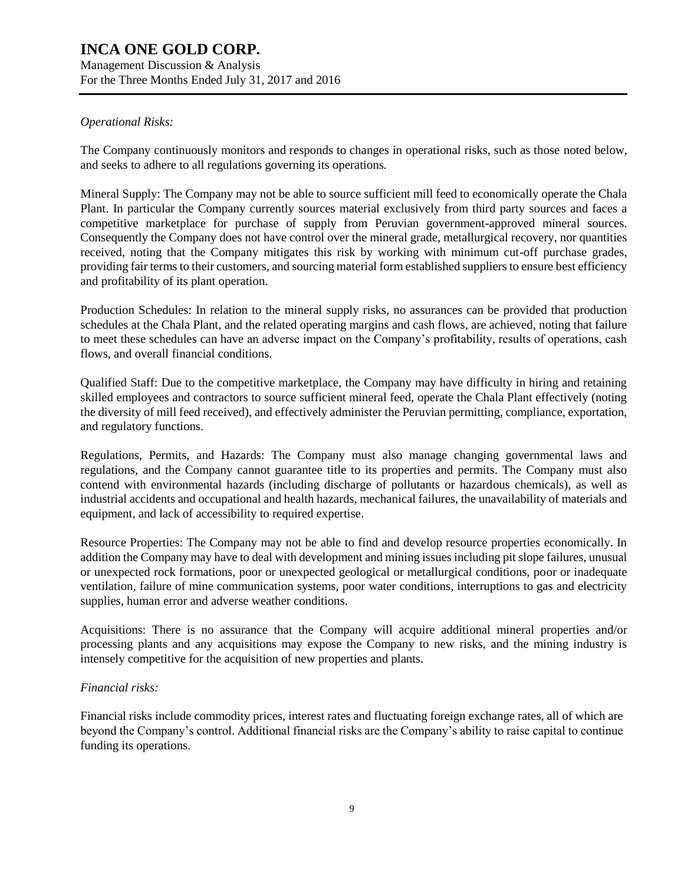Management Discussion & Analysis For the Three Months Ended July 31, 2017 and 2016

### *Operational Risks:*

The Company continuously monitors and responds to changes in operational risks, such as those noted below, and seeks to adhere to all regulations governing its operations.

Mineral Supply: The Company may not be able to source sufficient mill feed to economically operate the Chala Plant. In particular the Company currently sources material exclusively from third party sources and faces a competitive marketplace for purchase of supply from Peruvian government-approved mineral sources. Consequently the Company does not have control over the mineral grade, metallurgical recovery, nor quantities received, noting that the Company mitigates this risk by working with minimum cut-off purchase grades, providing fair terms to their customers, and sourcing material form established suppliers to ensure best efficiency and profitability of its plant operation.

Production Schedules: In relation to the mineral supply risks, no assurances can be provided that production schedules at the Chala Plant, and the related operating margins and cash flows, are achieved, noting that failure to meet these schedules can have an adverse impact on the Company's profitability, results of operations, cash flows, and overall financial conditions.

Qualified Staff: Due to the competitive marketplace, the Company may have difficulty in hiring and retaining skilled employees and contractors to source sufficient mineral feed, operate the Chala Plant effectively (noting the diversity of mill feed received), and effectively administer the Peruvian permitting, compliance, exportation, and regulatory functions.

Regulations, Permits, and Hazards: The Company must also manage changing governmental laws and regulations, and the Company cannot guarantee title to its properties and permits. The Company must also contend with environmental hazards (including discharge of pollutants or hazardous chemicals), as well as industrial accidents and occupational and health hazards, mechanical failures, the unavailability of materials and equipment, and lack of accessibility to required expertise.

Resource Properties: The Company may not be able to find and develop resource properties economically. In addition the Company may have to deal with development and mining issues including pit slope failures, unusual or unexpected rock formations, poor or unexpected geological or metallurgical conditions, poor or inadequate ventilation, failure of mine communication systems, poor water conditions, interruptions to gas and electricity supplies, human error and adverse weather conditions.

Acquisitions: There is no assurance that the Company will acquire additional mineral properties and/or processing plants and any acquisitions may expose the Company to new risks, and the mining industry is intensely competitive for the acquisition of new properties and plants.

### *Financial risks:*

Financial risks include commodity prices, interest rates and fluctuating foreign exchange rates, all of which are beyond the Company's control. Additional financial risks are the Company's ability to raise capital to continue funding its operations.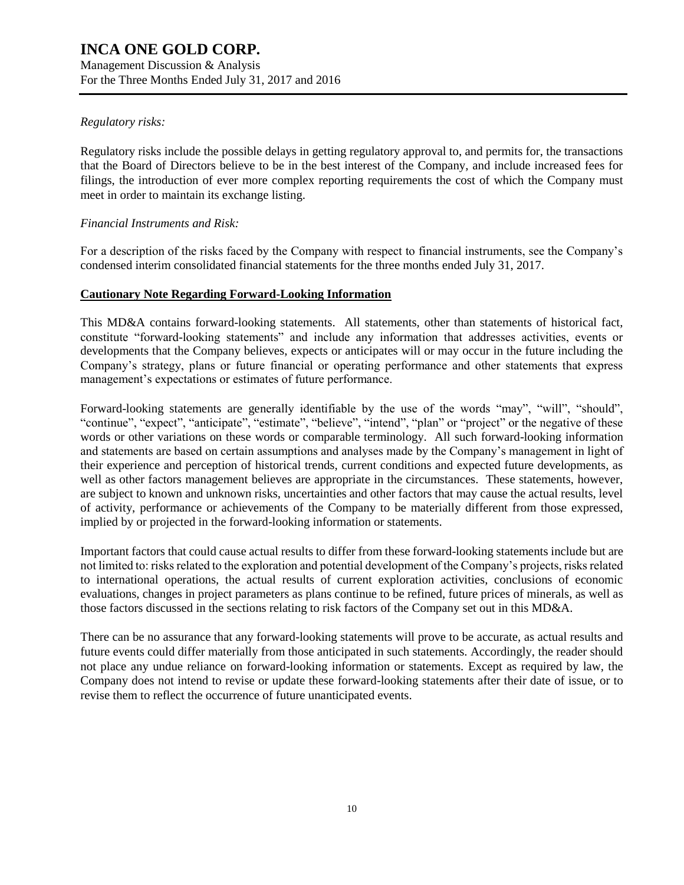Management Discussion & Analysis For the Three Months Ended July 31, 2017 and 2016

### *Regulatory risks:*

Regulatory risks include the possible delays in getting regulatory approval to, and permits for, the transactions that the Board of Directors believe to be in the best interest of the Company, and include increased fees for filings, the introduction of ever more complex reporting requirements the cost of which the Company must meet in order to maintain its exchange listing.

### *Financial Instruments and Risk:*

For a description of the risks faced by the Company with respect to financial instruments, see the Company's condensed interim consolidated financial statements for the three months ended July 31, 2017.

### **Cautionary Note Regarding Forward-Looking Information**

This MD&A contains forward-looking statements. All statements, other than statements of historical fact, constitute "forward-looking statements" and include any information that addresses activities, events or developments that the Company believes, expects or anticipates will or may occur in the future including the Company's strategy, plans or future financial or operating performance and other statements that express management's expectations or estimates of future performance.

Forward-looking statements are generally identifiable by the use of the words "may", "will", "should", "continue", "expect", "anticipate", "estimate", "believe", "intend", "plan" or "project" or the negative of these words or other variations on these words or comparable terminology. All such forward-looking information and statements are based on certain assumptions and analyses made by the Company's management in light of their experience and perception of historical trends, current conditions and expected future developments, as well as other factors management believes are appropriate in the circumstances. These statements, however, are subject to known and unknown risks, uncertainties and other factors that may cause the actual results, level of activity, performance or achievements of the Company to be materially different from those expressed, implied by or projected in the forward-looking information or statements.

Important factors that could cause actual results to differ from these forward-looking statements include but are not limited to: risks related to the exploration and potential development of the Company's projects, risks related to international operations, the actual results of current exploration activities, conclusions of economic evaluations, changes in project parameters as plans continue to be refined, future prices of minerals, as well as those factors discussed in the sections relating to risk factors of the Company set out in this MD&A.

There can be no assurance that any forward-looking statements will prove to be accurate, as actual results and future events could differ materially from those anticipated in such statements. Accordingly, the reader should not place any undue reliance on forward-looking information or statements. Except as required by law, the Company does not intend to revise or update these forward-looking statements after their date of issue, or to revise them to reflect the occurrence of future unanticipated events.